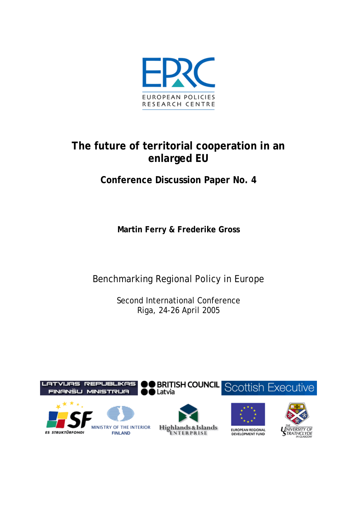

# **The future of territorial cooperation in an enlarged EU**

**Conference Discussion Paper No. 4** 

**Martin Ferry & Frederike Gross** 

Benchmarking Regional Policy in Europe

Second International Conference Riga, 24-26 April 2005

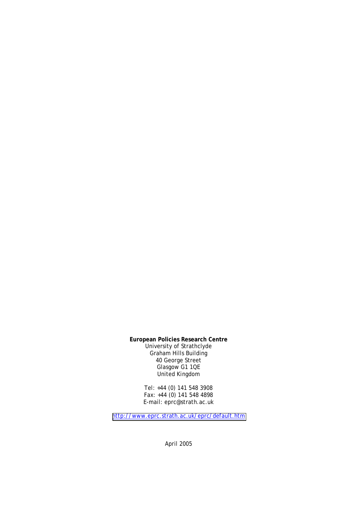#### **European Policies Research Centre**

University of Strathclyde Graham Hills Building 40 George Street Glasgow G1 1QE United Kingdom

Tel: +44 (0) 141 548 3908 Fax: +44 (0) 141 548 4898 E-mail: eprc@strath.ac.uk

<http://www.eprc.strath.ac.uk/eprc/default.htm>

April 2005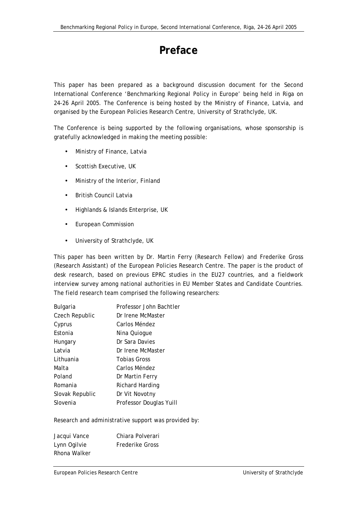# **Preface**

This paper has been prepared as a background discussion document for the Second International Conference 'Benchmarking Regional Policy in Europe' being held in Riga on 24-26 April 2005. The Conference is being hosted by the Ministry of Finance, Latvia, and organised by the European Policies Research Centre, University of Strathclyde, UK.

The Conference is being supported by the following organisations, whose sponsorship is gratefully acknowledged in making the meeting possible:

- Ministry of Finance, Latvia
- Scottish Executive, UK
- Ministry of the Interior, Finland
- British Council Latvia
- Highlands & Islands Enterprise, UK
- European Commission
- University of Strathclyde, UK

This paper has been written by Dr. Martin Ferry (Research Fellow) and Frederike Gross (Research Assistant) of the European Policies Research Centre. The paper is the product of desk research, based on previous EPRC studies in the EU27 countries, and a fieldwork interview survey among national authorities in EU Member States and Candidate Countries. The field research team comprised the following researchers:

| Bulgaria        | Professor John Bachtler |
|-----------------|-------------------------|
| Czech Republic  | Dr Irene McMaster       |
| Cyprus          | Carlos Méndez           |
| Estonia         | Nina Quiogue            |
| Hungary         | Dr Sara Davies          |
| Latvia          | Dr Irene McMaster       |
| Lithuania       | <b>Tobias Gross</b>     |
| Malta           | Carlos Méndez           |
| Poland          | Dr Martin Ferry         |
| Romania         | Richard Harding         |
| Slovak Republic | Dr Vit Novotny          |
| Slovenia        | Professor Douglas Yuill |

Research and administrative support was provided by:

| Jacqui Vance | Chiara Polverari |
|--------------|------------------|
| Lynn Ogilvie | Frederike Gross  |
| Rhona Walker |                  |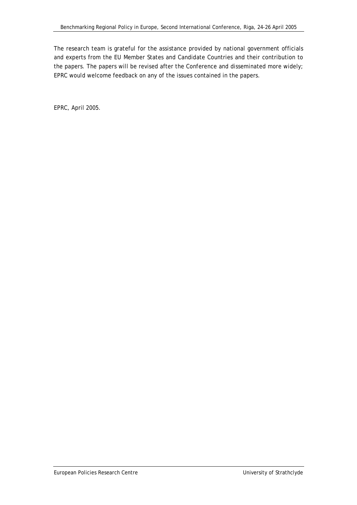The research team is grateful for the assistance provided by national government officials and experts from the EU Member States and Candidate Countries and their contribution to the papers. The papers will be revised after the Conference and disseminated more widely; EPRC would welcome feedback on any of the issues contained in the papers.

EPRC, April 2005.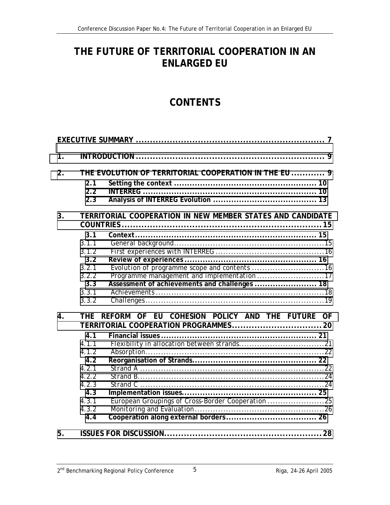## **THE FUTURE OF TERRITORIAL COOPERATION IN AN ENLARGED EU**

# **CONTENTS**

| 1.                 |                |                                                            |  |
|--------------------|----------------|------------------------------------------------------------|--|
| 2.                 |                | THE EVOLUTION OF TERRITORIAL COOPERATION IN THE EU  9      |  |
|                    | 2.1            |                                                            |  |
|                    | 2.2            |                                                            |  |
|                    | 2.3            |                                                            |  |
| 3.                 |                | TERRITORIAL COOPERATION IN NEW MEMBER STATES AND CANDIDATE |  |
|                    |                |                                                            |  |
|                    | 3.1            |                                                            |  |
|                    | 3.1.1<br>3.1.2 |                                                            |  |
|                    | 3.2            |                                                            |  |
|                    | 3.2.1          |                                                            |  |
|                    | 3.2.2          |                                                            |  |
|                    | 3.3            | Assessment of achievements and challenges  18              |  |
|                    | 3.3.1          |                                                            |  |
|                    | 3.3.2          |                                                            |  |
| $\boldsymbol{4}$ . | <b>THF</b>     | REFORM OF EU COHESION POLICY AND THE FUTURE OF             |  |
|                    | 4.1            |                                                            |  |
|                    | 4.1.1          |                                                            |  |
|                    | 4.1.2          |                                                            |  |
|                    | 4.2            |                                                            |  |
|                    | 4.2.1          |                                                            |  |
|                    | 4.2.2          |                                                            |  |
|                    | 4.2.3          |                                                            |  |
|                    | 4.3<br>4.3.1   | European Groupings of Cross-Border Cooperation 25          |  |
|                    | 4.3.2          |                                                            |  |
|                    | 4.4            |                                                            |  |
| 5.                 |                |                                                            |  |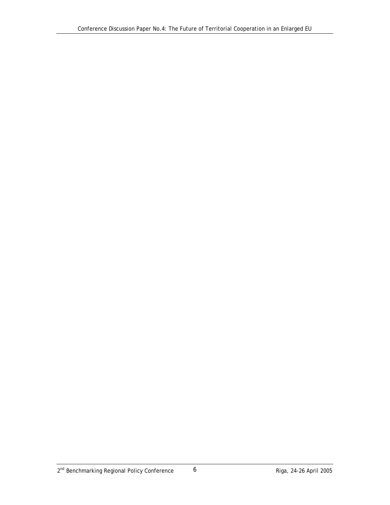### $2<sup>nd</sup>$  Benchmarking Regional Policy Conference  $\overline{\phantom{a}}$  6  $\overline{\phantom{a}}$  Riga, 24-26 April 2005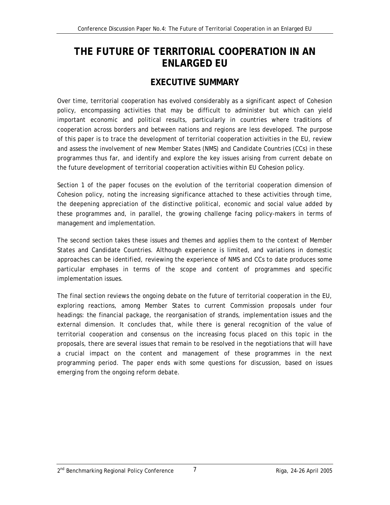## <span id="page-6-0"></span>**THE FUTURE OF TERRITORIAL COOPERATION IN AN ENLARGED EU**

## **EXECUTIVE SUMMARY**

Over time, territorial cooperation has evolved considerably as a significant aspect of Cohesion policy, encompassing activities that may be difficult to administer but which can yield important economic and political results, particularly in countries where traditions of cooperation across borders and between nations and regions are less developed. The purpose of this paper is to trace the development of territorial cooperation activities in the EU, review and assess the involvement of new Member States (NMS) and Candidate Countries (CCs) in these programmes thus far, and identify and explore the key issues arising from current debate on the future development of territorial cooperation activities within EU Cohesion policy.

Section 1 of the paper focuses on the evolution of the territorial cooperation dimension of Cohesion policy, noting the increasing significance attached to these activities through time, the deepening appreciation of the distinctive political, economic and social value added by these programmes and, in parallel, the growing challenge facing policy-makers in terms of management and implementation.

The second section takes these issues and themes and applies them to the context of Member States and Candidate Countries. Although experience is limited, and variations in domestic approaches can be identified, reviewing the experience of NMS and CCs to date produces some particular emphases in terms of the scope and content of programmes and specific implementation issues.

The final section reviews the ongoing debate on the future of territorial cooperation in the EU, exploring reactions, among Member States to current Commission proposals under four headings: the financial package, the reorganisation of strands, implementation issues and the external dimension. It concludes that, while there is general recognition of the value of territorial cooperation and consensus on the increasing focus placed on this topic in the proposals, there are several issues that remain to be resolved in the negotiations that will have a crucial impact on the content and management of these programmes in the next programming period. The paper ends with some questions for discussion, based on issues emerging from the ongoing reform debate.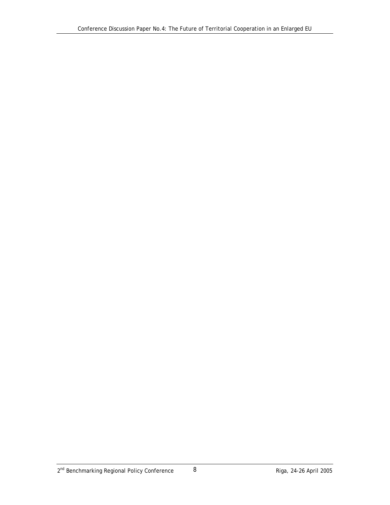#### $2<sup>nd</sup>$  Benchmarking Regional Policy Conference  $8<sup>8</sup>$  Riga, 24-26 April 2005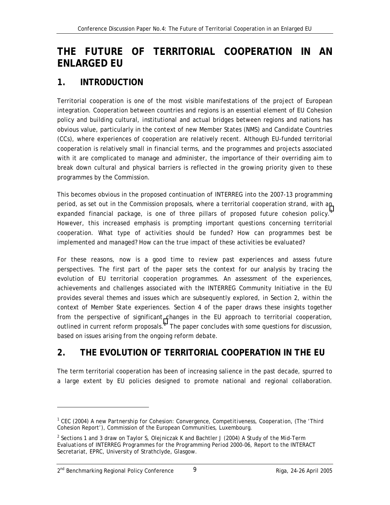# <span id="page-8-0"></span>**THE FUTURE OF TERRITORIAL COOPERATION IN AN ENLARGED EU**

## **1. INTRODUCTION**

Territorial cooperation is one of the most visible manifestations of the project of European integration. Cooperation between countries and regions is an essential element of EU Cohesion policy and building cultural, institutional and actual bridges between regions and nations has obvious value, particularly in the context of new Member States (NMS) and Candidate Countries (CCs), where experiences of cooperation are relatively recent. Although EU-funded territorial cooperation is relatively small in financial terms, and the programmes and projects associated with it are complicated to manage and administer, the importance of their overriding aim to break down cultural and physical barriers is reflected in the growing priority given to these programmes by the Commission.

This becomes obvious in the proposed continuation of INTERREG into the 2007-13 programming period, as set out in the Commission proposals, where a territorial cooperation strand, with an expanded financial package, is one of three pillars of proposed future cohesion policy.<sup>1</sup> However, this increased emphasis is prompting important questions concerning territorial cooperation. What type of activities should be funded? How can programmes best be implemented and managed? How can the true impact of these activities be evaluated?

For these reasons, now is a good time to review past experiences and assess future perspectives. The first part of the paper sets the context for our analysis by tracing the evolution of EU territorial cooperation programmes. An assessment of the experiences, achievements and challenges associated with the INTERREG Community Initiative in the EU provides several themes and issues which are subsequently explored, in Section 2, within the context of Member State experiences. Section 4 of the paper draws these insights together from the perspective of significant changes in the EU approach to territorial cooperation, outlined in current reform proposals.<sup>2</sup> The paper concludes with some questions for discussion, based on issues arising from the ongoing reform debate.

## **2. THE EVOLUTION OF TERRITORIAL COOPERATION IN THE EU**

The term territorial cooperation has been of increasing salience in the past decade, spurred to a large extent by EU policies designed to promote national and regional collaboration.

l

<sup>1</sup> CEC (2004) *A new Partnership for Cohesion: Convergence, Competitiveness, Cooperation*, (The 'Third Cohesion Report'), Commission of the European Communities, Luxembourg.

<sup>2</sup> Sections 1 and 3 draw on Taylor S, Olejniczak K and Bachtler J (2004) *A Study of the Mid-Term Evaluations of INTERREG Programmes for the Programming Period 2000-06*, Report to the INTERACT Secretariat, EPRC, University of Strathclyde, Glasgow.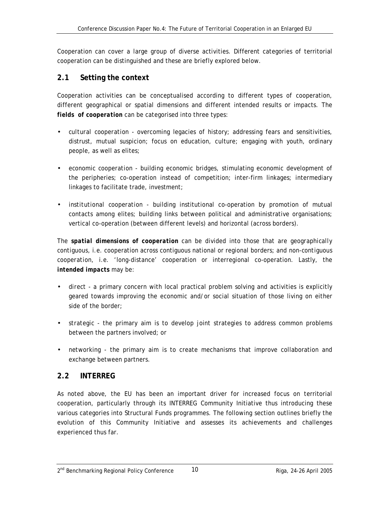<span id="page-9-0"></span>Cooperation can cover a large group of diverse activities. Different categories of territorial cooperation can be distinguished and these are briefly explored below.

#### **2.1 Setting the context**

Cooperation activities can be conceptualised according to different types of cooperation, different geographical or spatial dimensions and different intended results or impacts. The *fields of cooperation* can be categorised into three types:

- *cultural cooperation -* overcoming legacies of history; addressing fears and sensitivities, distrust, mutual suspicion; focus on education, culture; engaging with youth, ordinary people, as well as elites;
- *economic cooperation* building economic bridges, stimulating economic development of the peripheries; co-operation instead of competition; inter-firm linkages; intermediary linkages to facilitate trade, investment;
- *institutional cooperation* building institutional co-operation by promotion of mutual contacts among elites; building links between political and administrative organisations; vertical co-operation (between different levels) and horizontal (across borders).

The *spatial dimensions of cooperation* can be divided into those that are *geographically contiguous,* i.e. cooperation across contiguous national or regional borders; and *non-contiguous cooperation,* i.e. 'long-distance' cooperation or interregional co-operation. Lastly, the *intended impacts* may be:

- *direct* a primary concern with local practical problem solving and activities is explicitly geared towards improving the economic and/or social situation of those living on either side of the border;
- *strategic -* the primary aim is to develop joint strategies to address common problems between the partners involved; or
- *networking* the primary aim is to create mechanisms that improve collaboration and exchange between partners.

#### **2.2 INTERREG**

As noted above, the EU has been an important driver for increased focus on territorial cooperation, particularly through its INTERREG Community Initiative thus introducing these various categories into Structural Funds programmes. The following section outlines briefly the evolution of this Community Initiative and assesses its achievements and challenges experienced thus far.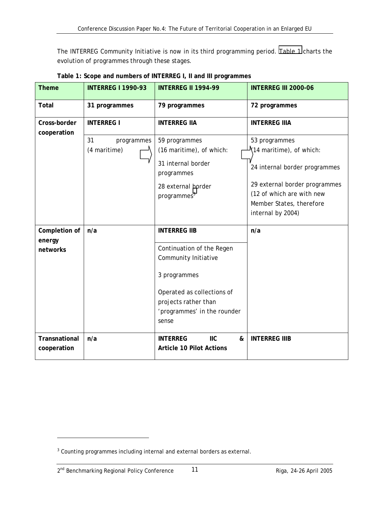The INTERREG Community Initiative is now in its third programming period. Table 1 charts the evolution of programmes through these stages.

| <b>Theme</b>                        | <b>INTERREG I 1990-93</b>        | <b>INTERREG II 1994-99</b>                                                                                                                                                             | <b>INTERREG III 2000-06</b>                                                                                                                                                                     |
|-------------------------------------|----------------------------------|----------------------------------------------------------------------------------------------------------------------------------------------------------------------------------------|-------------------------------------------------------------------------------------------------------------------------------------------------------------------------------------------------|
| Total                               | 31 programmes                    | 79 programmes                                                                                                                                                                          | 72 programmes                                                                                                                                                                                   |
| Cross-border<br>cooperation         | <b>INTERREG I</b>                | <b>INTERREG IIA</b>                                                                                                                                                                    | <b>INTERREG IIIA</b>                                                                                                                                                                            |
|                                     | 31<br>programmes<br>(4 maritime) | 59 programmes<br>(16 maritime), of which:<br>31 internal border<br>programmes<br>28 external border<br>programmes <sup>3</sup>                                                         | 53 programmes<br>$\eta$ 14 maritime), of which:<br>24 internal border programmes<br>29 external border programmes<br>(12 of which are with new<br>Member States, therefore<br>internal by 2004) |
| Completion of<br>energy<br>networks | n/a                              | <b>INTERREG IIB</b><br>Continuation of the Regen<br>Community Initiative<br>3 programmes<br>Operated as collections of<br>projects rather than<br>'programmes' in the rounder<br>sense | n/a                                                                                                                                                                                             |
| Transnational<br>cooperation        | n/a                              | <b>IIC</b><br><b>INTERREG</b><br>&<br><b>Article 10 Pilot Actions</b>                                                                                                                  | <b>INTERREG IIIB</b>                                                                                                                                                                            |

**Table 1: Scope and numbers of INTERREG I, II and III programmes** 

l

<sup>&</sup>lt;sup>3</sup> Counting programmes including internal *and* external borders as external.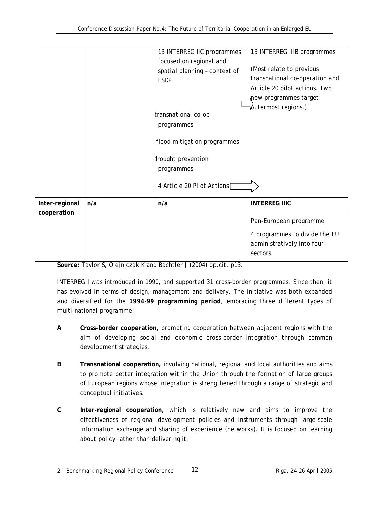|                |     | 13 INTERREG IIC programmes    | 13 INTERREG IIIB programmes    |
|----------------|-----|-------------------------------|--------------------------------|
|                |     | focused on regional and       |                                |
|                |     | spatial planning - context of | (Most relate to previous       |
|                |     | <b>ESDP</b>                   | transnational co-operation and |
|                |     |                               | Article 20 pilot actions. Two  |
|                |     |                               | new programmes target          |
|                |     |                               | √outermost regions.)           |
|                |     | transnational co-op           |                                |
|                |     | programmes                    |                                |
|                |     |                               |                                |
|                |     | flood mitigation programmes   |                                |
|                |     | drought prevention            |                                |
|                |     | programmes                    |                                |
|                |     |                               |                                |
|                |     | 4 Article 20 Pilot Actions    |                                |
|                |     |                               |                                |
| Inter-regional | n/a | n/a                           | <b>INTERREG IIIC</b>           |
| cooperation    |     |                               |                                |
|                |     |                               | Pan-European programme         |
|                |     |                               | 4 programmes to divide the EU  |
|                |     |                               | administratively into four     |
|                |     |                               | sectors.                       |
|                |     |                               |                                |

**Source:** Taylor S, Olejniczak K and Bachtler J (2004) *op.cit.* p13.

INTERREG I was introduced in 1990, and supported 31 cross-border programmes. Since then, it has evolved in terms of design, management and delivery. The initiative was both expanded and diversified for the *1994-99 programming period*, embracing three different types of multi-national programme:

- **A Cross-border cooperation,** promoting cooperation between adjacent regions with the aim of developing social and economic cross-border integration through common development strategies.
- **B Transnational cooperation,** involving national, regional and local authorities and aims to promote better integration within the Union through the formation of large groups of European regions whose integration is strengthened through a range of strategic and conceptual initiatives.
- **C Inter-regional cooperation,** which is relatively new and aims to improve the effectiveness of regional development policies and instruments through large-scale information exchange and sharing of experience (networks). It is focused on learning about policy rather than delivering it.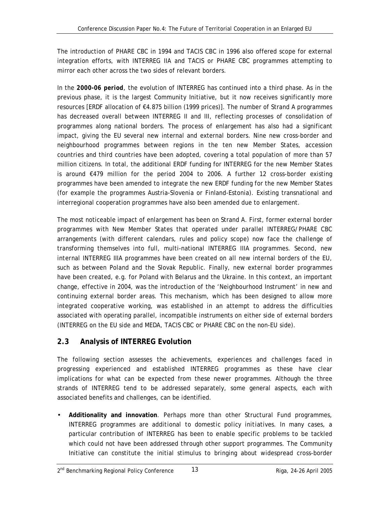<span id="page-12-0"></span>The introduction of PHARE CBC in 1994 and TACIS CBC in 1996 also offered scope for external integration efforts, with INTERREG IIA and TACIS or PHARE CBC programmes attempting to mirror each other across the two sides of relevant borders.

In the *2000-06 period*, the evolution of INTERREG has continued into a third phase. As in the previous phase, it is the largest Community Initiative, but it now receives significantly more resources [ERDF allocation of €4.875 billion (1999 prices)]. The number of Strand A programmes has decreased overall between INTERREG II and III, reflecting processes of consolidation of programmes along national borders. The process of enlargement has also had a significant impact, giving the EU several new internal and external borders. Nine new cross-border and neighbourhood programmes between regions in the ten new Member States, accession countries and third countries have been adopted, covering a total population of more than 57 million citizens. In total, the additional ERDF funding for INTERREG for the new Member States is around €479 million for the period 2004 to 2006. A further 12 cross-border existing programmes have been amended to integrate the new ERDF funding for the new Member States (for example the programmes Austria-Slovenia or Finland-Estonia). Existing transnational and interregional cooperation programmes have also been amended due to enlargement.

The most noticeable impact of enlargement has been on Strand A. First, former external border programmes with New Member States that operated under parallel INTERREG/PHARE CBC arrangements (with different calendars, rules and policy scope) now face the challenge of transforming themselves into full, multi-national INTERREG IIIA programmes. Second, new *internal* INTERREG IIIA programmes have been created on all new internal borders of the EU, such as between Poland and the Slovak Republic. Finally, new *external* border programmes have been created, e.g. for Poland with Belarus and the Ukraine. In this context, an important change, effective in 2004, was the introduction of the 'Neighbourhood Instrument' in new and continuing external border areas. This mechanism, which has been designed to allow more integrated cooperative working, was established in an attempt to address the difficulties associated with operating parallel, incompatible instruments on either side of external borders (INTERREG on the EU side and MEDA, TACIS CBC or PHARE CBC on the non-EU side).

### **2.3 Analysis of INTERREG Evolution**

The following section assesses the achievements, experiences and challenges faced in progressing experienced and established INTERREG programmes as these have clear implications for what can be expected from these newer programmes. Although the three strands of INTERREG tend to be addressed separately, some general aspects, each with associated benefits and challenges, can be identified.

• **Additionality and innovation**. Perhaps more than other Structural Fund programmes, INTERREG programmes are *additional to domestic policy initiatives*. In many cases, a particular contribution of INTERREG has been to enable specific problems to be tackled which could not have been addressed through other support programmes. The Community Initiative can constitute the initial stimulus to bringing about widespread cross-border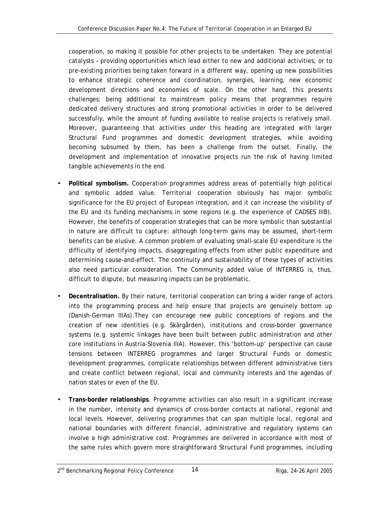cooperation, so making it possible for other projects to be undertaken. They are potential catalysts – providing opportunities which lead either to new and additional activities, or to pre-existing priorities being taken forward in a different way, opening up new possibilities to enhance strategic coherence and coordination, synergies, learning, new economic development directions and economies of scale. On the other hand, this presents challenges: being additional to mainstream policy means that programmes require dedicated delivery structures and strong promotional activities in order to be delivered successfully, while the amount of funding available to realise projects is relatively small. Moreover, guaranteeing that activities under this heading are integrated with larger Structural Fund programmes and domestic development strategies, while avoiding becoming subsumed by them, has been a challenge from the outset. Finally, the development and implementation of innovative projects run the risk of having limited tangible achievements in the end.

- **Political symbolism.** Cooperation programmes address areas of potentially high political and symbolic added value. Territorial cooperation obviously has major symbolic significance for the EU project of European integration, and it can increase the visibility of the EU and its funding mechanisms in some regions (e.g. the experience of CADSES IIIB). However, the benefits of cooperation strategies that can be more symbolic than substantial in nature are difficult to capture: although long-term gains may be assumed, short-term benefits can be elusive. A common problem of evaluating small-scale EU expenditure is the difficulty of identifying impacts, disaggregating effects from other public expenditure and determining cause-and-effect. The continuity and sustainability of these types of activities also need particular consideration. The Community added value of INTERREG is, thus, difficult to dispute, but measuring impacts can be problematic.
- **Decentralisation.** By their nature, territorial cooperation can bring a wider range of actors into the programming process and help ensure that projects are genuinely bottom up (Danish-German IIIAs).They can encourage new public conceptions of regions and the creation of new identities (e.g. Skärgården), institutions and cross-border governance systems (e.g. systemic linkages have been built between public administration and other core institutions in Austria-Slovenia IIIA). However, this 'bottom-up' perspective can cause tensions between INTERREG programmes and larger Structural Funds or domestic development programmes, complicate relationships between different administrative tiers and create conflict between regional, local and community interests and the agendas of nation states or even of the EU.
- **Trans-border relationships**. Programme activities can also result in a significant increase in the number, intensity and dynamics of cross-border contacts at national, regional and local levels. However, delivering programmes that can span multiple local, regional and national boundaries with different financial, administrative and regulatory systems can involve a high administrative cost. Programmes are delivered in accordance with most of the same rules which govern more straightforward Structural Fund programmes, including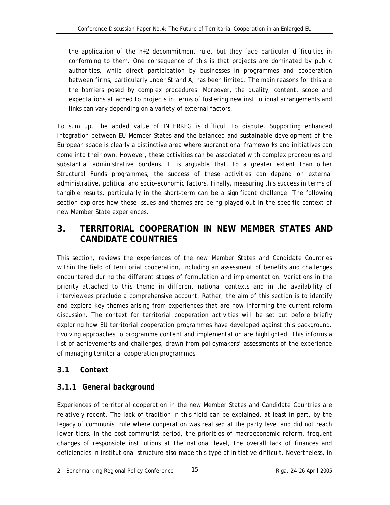<span id="page-14-0"></span>the application of the n+2 decommitment rule, but they face particular difficulties in conforming to them. One consequence of this is that projects are dominated by public authorities, while direct participation by businesses in programmes and cooperation between firms, particularly under Strand A, has been limited. The main reasons for this are the barriers posed by complex procedures. Moreover, the quality, content, scope and expectations attached to projects in terms of fostering new institutional arrangements and links can vary depending on a variety of external factors.

To sum up, the added value of INTERREG is difficult to dispute. Supporting enhanced integration between EU Member States and the balanced and sustainable development of the European space is clearly a distinctive area where supranational frameworks and initiatives can come into their own. However, these activities can be associated with complex procedures and substantial administrative burdens. It is arguable that, to a greater extent than other Structural Funds programmes, the success of these activities can depend on external administrative, political and socio-economic factors. Finally, measuring this success in terms of tangible results, particularly in the short-term can be a significant challenge. The following section explores how these issues and themes are being played out in the specific context of new Member State experiences.

## **3. TERRITORIAL COOPERATION IN NEW MEMBER STATES AND CANDIDATE COUNTRIES**

This section, reviews the experiences of the new Member States and Candidate Countries within the field of territorial cooperation, including an assessment of benefits and challenges encountered during the different stages of formulation and implementation. Variations in the priority attached to this theme in different national contexts and in the availability of interviewees preclude a comprehensive account. Rather, the aim of this section is to identify and explore key themes arising from experiences that are now informing the current reform discussion. The context for territorial cooperation activities will be set out before briefly exploring how EU territorial cooperation programmes have developed against this background. Evolving approaches to programme content and implementation are highlighted. This informs a list of achievements and challenges, drawn from policymakers' assessments of the experience of managing territorial cooperation programmes.

### **3.1 Context**

### *3.1.1 General background*

Experiences of territorial cooperation in the new Member States and Candidate Countries are relatively recent. The lack of tradition in this field can be explained, at least in part, by the legacy of communist rule where cooperation was realised at the party level and did not reach lower tiers. In the post-communist period, the priorities of macroeconomic reform, frequent changes of responsible institutions at the national level, the overall lack of finances and deficiencies in institutional structure also made this type of initiative difficult. Nevertheless, in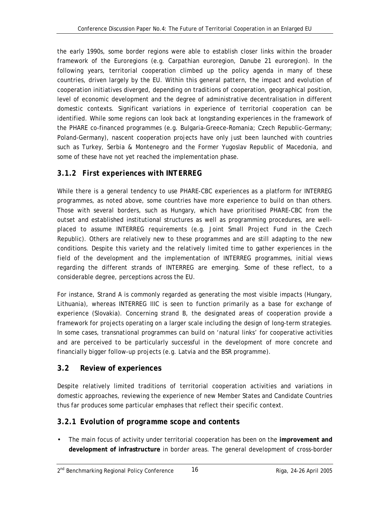<span id="page-15-0"></span>the early 1990s, some border regions were able to establish closer links within the broader framework of the Euroregions (e.g. Carpathian euroregion, Danube 21 euroregion). In the following years, territorial cooperation climbed up the policy agenda in many of these countries, driven largely by the EU. Within this general pattern, the impact and evolution of cooperation initiatives diverged, depending on traditions of cooperation, geographical position, level of economic development and the degree of administrative decentralisation in different domestic contexts. Significant variations in experience of territorial cooperation can be identified. While some regions can look back at longstanding experiences in the framework of the PHARE co-financed programmes (e.g. Bulgaria-Greece-Romania; Czech Republic-Germany; Poland-Germany), nascent cooperation projects have only just been launched with countries such as Turkey, Serbia & Montenegro and the Former Yugoslav Republic of Macedonia, and some of these have not yet reached the implementation phase.

#### *3.1.2 First experiences with INTERREG*

While there is a general tendency to use PHARE-CBC experiences as a platform for INTERREG programmes, as noted above, some countries have more experience to build on than others. Those with several borders, such as Hungary, which have prioritised PHARE-CBC from the outset and established institutional structures as well as programming procedures, are wellplaced to assume INTERREG requirements (e.g. Joint Small Project Fund in the Czech Republic). Others are relatively new to these programmes and are still adapting to the new conditions. Despite this variety and the relatively limited time to gather experiences in the field of the development and the implementation of INTERREG programmes, initial views regarding the different strands of INTERREG are emerging. Some of these reflect, to a considerable degree, perceptions across the EU.

For instance, Strand A is commonly regarded as generating the most visible impacts (Hungary, Lithuania), whereas INTERREG IIIC is seen to function primarily as a base for exchange of experience (Slovakia). Concerning strand B, the designated areas of cooperation provide a framework for projects operating on a larger scale including the design of long-term strategies. In some cases, transnational programmes can build on 'natural links' for cooperative activities and are perceived to be particularly successful in the development of more concrete and financially bigger follow-up projects (e.g. Latvia and the BSR programme*).*

#### **3.2 Review of experiences**

Despite relatively limited traditions of territorial cooperation activities and variations in domestic approaches, reviewing the experience of new Member States and Candidate Countries thus far produces some particular emphases that reflect their specific context.

### *3.2.1 Evolution of programme scope and contents*

• The main focus of activity under territorial cooperation has been on the **improvement and development of infrastructure** in border areas. The general development of cross-border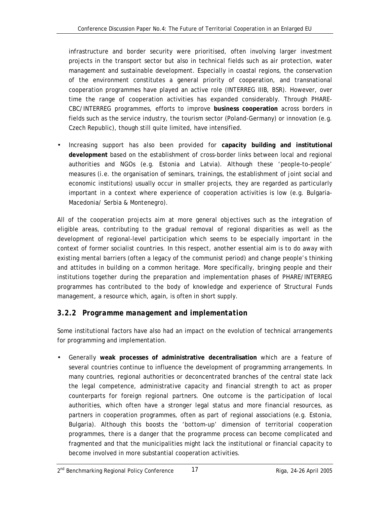<span id="page-16-0"></span>infrastructure and border security were prioritised, often involving larger investment projects in the transport sector but also in technical fields such as air protection, water management and sustainable development. Especially in coastal regions, the conservation of the environment constitutes a general priority of cooperation, and transnational cooperation programmes have played an active role (INTERREG IIIB, BSR). However, over time the range of cooperation activities has expanded considerably. Through PHARE-CBC/INTERREG programmes, efforts to improve **business cooperation** across borders in fields such as the service industry, the tourism sector (Poland-Germany) or innovation (e.g. Czech Republic), though still quite limited, have intensified.

• Increasing support has also been provided for **capacity building and institutional development** based on the establishment of cross-border links between local and regional authorities and NGOs (e.g. Estonia and Latvia). Although these 'people-to-people' measures (i.e. the organisation of seminars, trainings, the establishment of joint social and economic institutions) usually occur in smaller projects, they are regarded as particularly important in a context where experience of cooperation activities is low (e.g. Bulgaria-Macedonia/ Serbia & Montenegro).

All of the cooperation projects aim at more general objectives such as the integration of eligible areas, contributing to the gradual removal of regional disparities as well as the development of regional-level participation which seems to be especially important in the context of former socialist countries. In this respect, another essential aim is to do away with existing mental barriers (often a legacy of the communist period) and change people's thinking and attitudes in building on a common heritage. More specifically, bringing people and their institutions together during the preparation and implementation phases of PHARE/INTERREG programmes has contributed to the body of knowledge and experience of Structural Funds management, a resource which, again, is often in short supply.

## *3.2.2 Programme management and implementation*

Some institutional factors have also had an impact on the evolution of technical arrangements for programming and implementation.

• Generally **weak processes of administrative decentralisation** which are a feature of several countries continue to influence the development of programming arrangements. In many countries, regional authorities or deconcentrated branches of the central state lack the legal competence, administrative capacity and financial strength to act as proper counterparts for foreign regional partners. One outcome is the participation of local authorities, which often have a stronger legal status and more financial resources, as partners in cooperation programmes, often as part of regional associations (e.g. Estonia, Bulgaria). Although this boosts the 'bottom-up' dimension of territorial cooperation programmes, there is a danger that the programme process can become complicated and fragmented and that the municipalities might lack the institutional or financial capacity to become involved in more substantial cooperation activities.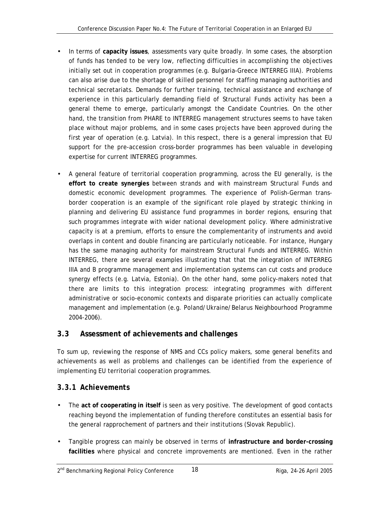- <span id="page-17-0"></span>• In terms of **capacity issues**, assessments vary quite broadly. In some cases, the absorption of funds has tended to be very low, reflecting difficulties in accomplishing the objectives initially set out in cooperation programmes (e.g. Bulgaria-Greece INTERREG IIIA). Problems can also arise due to the shortage of skilled personnel for staffing managing authorities and technical secretariats. Demands for further training, technical assistance and exchange of experience in this particularly demanding field of Structural Funds activity has been a general theme to emerge, particularly amongst the Candidate Countries. On the other hand, the transition from PHARE to INTERREG management structures seems to have taken place without major problems, and in some cases projects have been approved during the first year of operation (e.g. Latvia). In this respect, there is a general impression that EU support for the pre-accession cross-border programmes has been valuable in developing expertise for current INTERREG programmes.
- A general feature of territorial cooperation programming, across the EU generally, is the **effort to create synergies** between strands and with mainstream Structural Funds and domestic economic development programmes. The experience of Polish-German transborder cooperation is an example of the significant role played by strategic thinking in planning and delivering EU assistance fund programmes in border regions, ensuring that such programmes integrate with wider national development policy. Where administrative capacity is at a premium, efforts to ensure the complementarity of instruments and avoid overlaps in content and double financing are particularly noticeable. For instance, Hungary has the same managing authority for mainstream Structural Funds and INTERREG. Within INTERREG, there are several examples illustrating that that the integration of INTERREG IIIA and B programme management and implementation systems can cut costs and produce synergy effects (e.g. Latvia, Estonia). On the other hand, some policy-makers noted that there are limits to this integration process: integrating programmes with different administrative or socio-economic contexts and disparate priorities can actually complicate management and implementation (e.g. Poland/Ukraine/Belarus Neighbourhood Programme 2004-2006).

### **3.3 Assessment of achievements and challenges**

To sum up, reviewing the response of NMS and CCs policy makers, some general benefits and achievements as well as problems and challenges can be identified from the experience of implementing EU territorial cooperation programmes.

### *3.3.1 Achievements*

- The **act of cooperating in itself** is seen as very positive. The development of good contacts reaching beyond the implementation of funding therefore constitutes an essential basis for the general rapprochement of partners and their institutions (Slovak Republic).
- Tangible progress can mainly be observed in terms of **infrastructure and border-crossing facilities** where physical and concrete improvements are mentioned. Even in the rather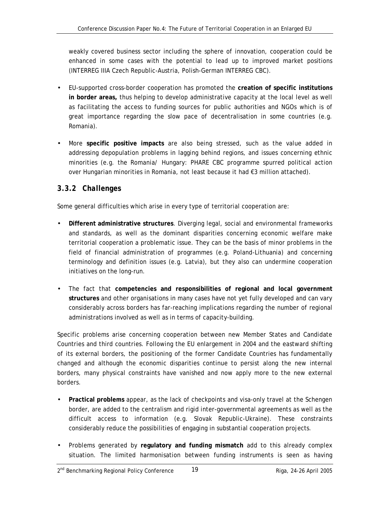<span id="page-18-0"></span>weakly covered business sector including the sphere of innovation, cooperation could be enhanced in some cases with the potential to lead up to improved market positions (INTERREG IIIA Czech Republic-Austria, Polish-German INTERREG CBC).

- EU-supported cross-border cooperation has promoted the **creation of specific institutions in border areas,** thus helping to develop administrative capacity at the local level as well as facilitating the access to funding sources for public authorities and NGOs which is of great importance regarding the slow pace of decentralisation in some countries (e.g. Romania).
- More **specific positive impacts** are also being stressed, such as the value added in addressing depopulation problems in lagging behind regions, and issues concerning ethnic minorities (e.g. the Romania/ Hungary: PHARE CBC programme spurred political action over Hungarian minorities in Romania, not least because it had €3 million attached).

#### *3.3.2 Challenges*

Some general difficulties which arise in every type of territorial cooperation are:

- **Different administrative structures**. Diverging legal, social and environmental frameworks and standards, as well as the dominant disparities concerning economic welfare make territorial cooperation a problematic issue. They can be the basis of minor problems in the field of financial administration of programmes (e.g. Poland-Lithuania) and concerning terminology and definition issues (e.g. Latvia), but they also can undermine cooperation initiatives on the long-run.
- The fact that **competencies and responsibilities of regional and local government structures** and other organisations in many cases have not yet fully developed and can vary considerably across borders has far-reaching implications regarding the number of regional administrations involved as well as in terms of capacity-building.

Specific problems arise concerning cooperation between new Member States and Candidate Countries and third countries. Following the EU enlargement in 2004 and the eastward shifting of its external borders, the positioning of the former Candidate Countries has fundamentally changed and although the economic disparities continue to persist along the new internal borders, many physical constraints have vanished and now apply more to the new external borders.

- **Practical problems** appear, as the lack of checkpoints and visa-only travel at the Schengen border, are added to the centralism and rigid inter-governmental agreements as well as the difficult access to information (e.g. Slovak Republic-Ukraine). These constraints considerably reduce the possibilities of engaging in substantial cooperation projects.
- Problems generated by **regulatory and funding mismatch** add to this already complex situation. The limited harmonisation between funding instruments is seen as having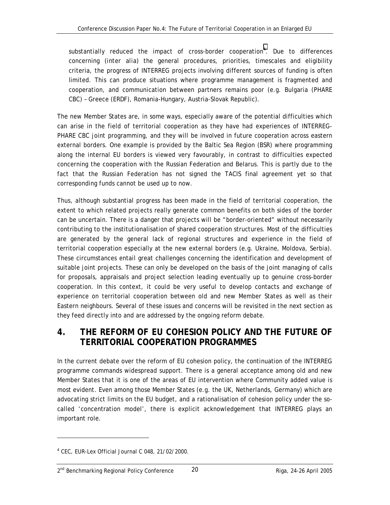<span id="page-19-0"></span>substantially reduced the impact of cross-border cooperation*<sup>4</sup>* . Due to differences concerning (*inter alia)* the general procedures, priorities, timescales and eligibility criteria, the progress of INTERREG projects involving different sources of funding is often limited. This can produce situations where programme management is fragmented and cooperation, and communication between partners remains poor (e.g. Bulgaria (PHARE CBC) – Greece (ERDF), Romania-Hungary, Austria-Slovak Republic).

The new Member States are, in some ways, especially aware of the potential difficulties which can arise in the field of territorial cooperation as they have had experiences of INTERREG-PHARE CBC joint programming, and they will be involved in future cooperation across eastern external borders. One example is provided by the Baltic Sea Region (BSR) where programming along the internal EU borders is viewed very favourably, in contrast to difficulties expected concerning the cooperation with the Russian Federation and Belarus. This is partly due to the fact that the Russian Federation has not signed the TACIS final agreement yet so that corresponding funds cannot be used up to now.

Thus, although substantial progress has been made in the field of territorial cooperation, the extent to which related projects really generate common benefits on both sides of the border can be uncertain. There is a danger that projects will be "border-oriented" without necessarily contributing to the institutionalisation of shared cooperation structures. Most of the difficulties are generated by the general lack of regional structures and experience in the field of territorial cooperation especially at the new external borders (e.g. Ukraine, Moldova, Serbia). These circumstances entail great challenges concerning the identification and development of suitable joint projects. These can only be developed on the basis of the joint managing of calls for proposals, appraisals and project selection leading eventually up to genuine cross-border cooperation. In this context, it could be very useful to develop contacts and exchange of experience on territorial cooperation between old and new Member States as well as their Eastern neighbours. Several of these issues and concerns will be revisited in the next section as they feed directly into and are addressed by the ongoing reform debate.

### **4. THE REFORM OF EU COHESION POLICY AND THE FUTURE OF TERRITORIAL COOPERATION PROGRAMMES**

In the current debate over the reform of EU cohesion policy, the continuation of the INTERREG programme commands widespread support. There is a general acceptance among old and new Member States that it is one of the areas of EU intervention where Community added value is most evident. Even among those Member States (e.g. the UK, Netherlands, Germany) which are advocating strict limits on the EU budget, and a rationalisation of cohesion policy under the socalled 'concentration model', there is explicit acknowledgement that INTERREG plays an important role.

l

<sup>4</sup> CEC, EUR-Lex Official Journal C 048, 21/02/2000.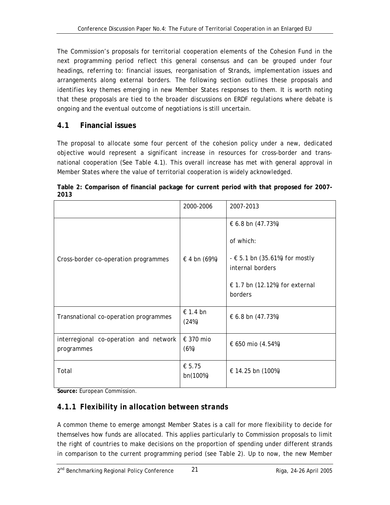<span id="page-20-0"></span>The Commission's proposals for territorial cooperation elements of the Cohesion Fund in the next programming period reflect this general consensus and can be grouped under four headings, referring to: financial issues, reorganisation of Strands, implementation issues and arrangements along external borders. The following section outlines these proposals and identifies key themes emerging in new Member States responses to them. It is worth noting that these proposals are tied to the broader discussions on ERDF regulations where debate is ongoing and the eventual outcome of negotiations is still uncertain.

#### **4.1 Financial issues**

The proposal to allocate some four percent of the cohesion policy under a new, dedicated objective would represent a significant increase in resources for cross-border and transnational cooperation (See Table 4.1). This overall increase has met with general approval in Member States where the value of territorial cooperation is widely acknowledged.

|      | Table 2: Comparison of financial package for current period with that proposed for 2007- |  |  |  |  |  |  |
|------|------------------------------------------------------------------------------------------|--|--|--|--|--|--|
| 2013 |                                                                                          |  |  |  |  |  |  |

|                                                      | 2000-2006             | 2007-2013                                                                                                                                |
|------------------------------------------------------|-----------------------|------------------------------------------------------------------------------------------------------------------------------------------|
| Cross-border co-operation programmes                 | € 4 bn $(69%)$        | € 6.8 bn $(47.73%)$<br>of which:<br>$-6$ 5.1 bn (35.61%) for mostly<br>internal borders<br>$\in$ 1.7 bn (12.12%) for external<br>borders |
| Transnational co-operation programmes                | $\in$ 1.4 bn<br>(24%) | € 6.8 bn $(47.73%)$                                                                                                                      |
| interregional co-operation and network<br>programmes | € 370 mio<br>(6%)     | € 650 mio (4.54%)                                                                                                                        |
| Total                                                | € 5.75<br>bn(100%)    | € 14.25 bn (100%)                                                                                                                        |

**Source:** European Commission.

#### *4.1.1 Flexibility in allocation between strands*

A common theme to emerge amongst Member States is a call for more flexibility to decide for themselves how funds are allocated. This applies particularly to Commission proposals to limit the right of countries to make decisions on the proportion of spending under different strands in comparison to the current programming period (see Table 2). Up to now, the new Member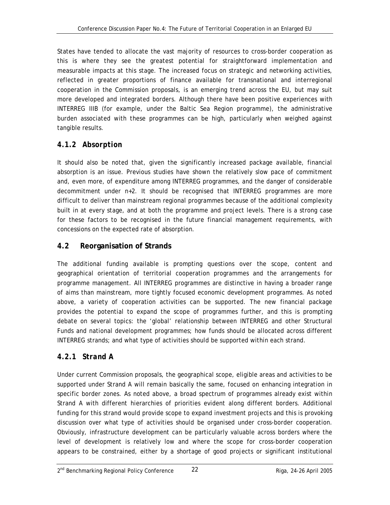<span id="page-21-0"></span>States have tended to allocate the vast majority of resources to cross-border cooperation as this is where they see the greatest potential for straightforward implementation and measurable impacts at this stage. The increased focus on strategic and networking activities, reflected in greater proportions of finance available for transnational and interregional cooperation in the Commission proposals, is an emerging trend across the EU, but may suit more developed and integrated borders. Although there have been positive experiences with INTERREG IIIB (for example, under the Baltic Sea Region programme), the administrative burden associated with these programmes can be high, particularly when weighed against tangible results.

### *4.1.2 Absorption*

It should also be noted that, given the significantly increased package available, financial absorption is an issue. Previous studies have shown the relatively slow pace of commitment and, even more, of expenditure among INTERREG programmes, and the danger of considerable decommitment under n+2. It should be recognised that INTERREG programmes are more difficult to deliver than mainstream regional programmes because of the additional complexity built in at every stage, and at both the programme and project levels. There is a strong case for these factors to be recognised in the future financial management requirements, with concessions on the expected rate of absorption.

#### **4.2 Reorganisation of Strands**

The additional funding available is prompting questions over the scope, content and geographical orientation of territorial cooperation programmes and the arrangements for programme management. All INTERREG programmes are distinctive in having a broader range of aims than mainstream, more tightly focused economic development programmes. As noted above, a variety of cooperation activities can be supported. The new financial package provides the potential to expand the scope of programmes further, and this is prompting debate on several topics: the 'global' relationship between INTERREG and other Structural Funds and national development programmes; how funds should be allocated across different INTERREG strands; and what type of activities should be supported within each strand.

### *4.2.1 Strand A*

Under current Commission proposals, the geographical scope, eligible areas and activities to be supported under Strand A will remain basically the same, focused on enhancing integration in specific border zones. As noted above, a broad spectrum of programmes already exist within Strand A with different hierarchies of priorities evident along different borders. Additional funding for this strand would provide scope to expand investment projects and this is provoking discussion over what type of activities should be organised under cross-border cooperation. Obviously, infrastructure development can be particularly valuable across borders where the level of development is relatively low and where the scope for cross-border cooperation appears to be constrained, either by a shortage of good projects or significant institutional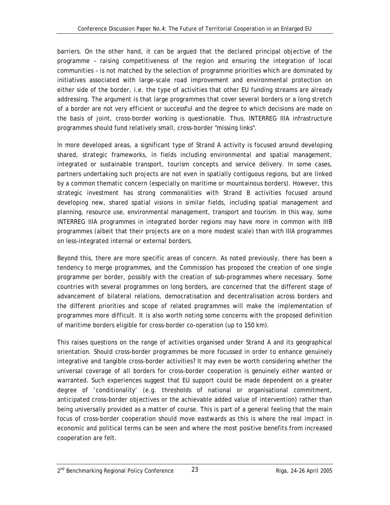barriers. On the other hand, it can be argued that the declared principal objective of the programme – raising competitiveness of the region and ensuring the integration of local communities – is not matched by the selection of programme priorities which are dominated by initiatives associated with large-scale road improvement and environmental protection on either side of the border, i.e. the type of activities that other EU funding streams are already addressing. The argument is that large programmes that cover several borders or a long stretch of a border are not very efficient or successful and the degree to which decisions are made on the basis of joint, cross-border working is questionable. Thus, INTERREG IIIA infrastructure programmes should fund relatively small, cross-border "missing links".

In more developed areas, a significant type of Strand A activity is focused around developing shared, strategic frameworks, in fields including environmental and spatial management, integrated or sustainable transport, tourism concepts and service delivery. In some cases, partners undertaking such projects are not even in spatially contiguous regions, but are linked by a common thematic concern (especially on maritime or mountainous borders). However, this strategic investment has strong commonalities with Strand B activities focused around developing new, shared spatial visions in similar fields, including spatial management and planning, resource use, environmental management, transport and tourism. In this way, some INTERREG IIIA programmes in integrated border regions may have more in common with IIIB programmes (albeit that their projects are on a more modest scale) than with IIIA programmes on less-integrated internal or external borders.

Beyond this, there are more specific areas of concern. As noted previously, there has been a tendency to merge programmes, and the Commission has proposed the creation of one single programme per border, possibly with the creation of sub-programmes where necessary. Some countries with several programmes on long borders, are concerned that the different stage of advancement of bilateral relations, democratisation and decentralisation across borders and the different priorities and scope of related programmes will make the implementation of programmes more difficult. It is also worth noting some concerns with the proposed definition of maritime borders eligible for cross-border co-operation (up to 150 km).

This raises questions on the range of activities organised under Strand A and its geographical orientation. Should cross-border programmes be more focussed in order to enhance genuinely integrative and tangible cross-border activities? It may even be worth considering whether the universal coverage of all borders for cross-border cooperation is genuinely either wanted or warranted. Such experiences suggest that EU support could be made dependent on a greater degree of 'conditionality' (e.g. thresholds of national or organisational commitment, anticipated cross-border objectives or the achievable added value of intervention) rather than being universally provided as a matter of course. This is part of a general feeling that the main focus of cross-border cooperation should move eastwards as this is where the real impact in economic and political terms can be seen and where the most positive benefits from increased cooperation are felt.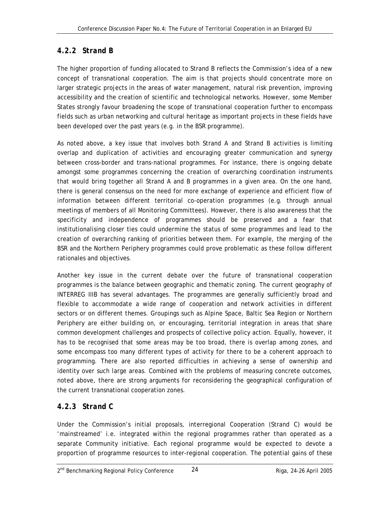## <span id="page-23-0"></span>*4.2.2 Strand B*

The higher proportion of funding allocated to Strand B reflects the Commission's idea of a new concept of transnational cooperation. The aim is that projects should concentrate more on larger strategic projects in the areas of water management, natural risk prevention, improving accessibility and the creation of scientific and technological networks. However, some Member States strongly favour broadening the scope of transnational cooperation further to encompass fields such as urban networking and cultural heritage as important projects in these fields have been developed over the past years (e.g. in the BSR programme).

As noted above, a key issue that involves both Strand A and Strand B activities is limiting overlap and duplication of activities and encouraging greater communication and synergy between cross-border and trans-national programmes. For instance, there is ongoing debate amongst some programmes concerning the creation of overarching coordination instruments that would bring together all Strand A and B programmes in a given area. On the one hand, there is general consensus on the need for more exchange of experience and efficient flow of information between different territorial co-operation programmes (e.g. through annual meetings of members of all Monitoring Committees). However, there is also awareness that the specificity and independence of programmes should be preserved and a fear that institutionalising closer ties could undermine the status of some programmes and lead to the creation of overarching ranking of priorities between them. For example, the merging of the BSR and the Northern Periphery programmes could prove problematic as these follow different rationales and objectives.

Another key issue in the current debate over the future of transnational cooperation programmes is the balance between geographic and thematic zoning. The current geography of INTERREG IIIB has several advantages. The programmes are generally sufficiently broad and flexible to accommodate a wide range of cooperation and network activities in different sectors or on different themes. Groupings such as Alpine Space, Baltic Sea Region or Northern Periphery are either building on, or encouraging, territorial integration in areas that share common development challenges and prospects of collective policy action. Equally, however, it has to be recognised that some areas may be too broad, there is overlap among zones, and some encompass too many different types of activity for there to be a coherent approach to programming. There are also reported difficulties in achieving a sense of ownership and identity over such large areas. Combined with the problems of measuring concrete outcomes, noted above, there are strong arguments for reconsidering the geographical configuration of the current transnational cooperation zones.

## *4.2.3 Strand C*

Under the Commission's initial proposals, interregional Cooperation (Strand C) would be 'mainstreamed' i.e. integrated within the regional programmes rather than operated as a separate Community initiative. Each regional programme would be expected to devote a proportion of programme resources to inter-regional cooperation. The potential gains of these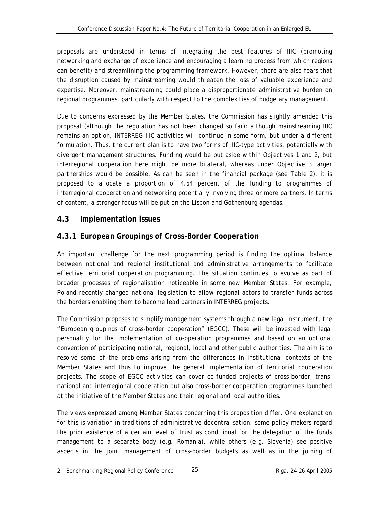<span id="page-24-0"></span>proposals are understood in terms of integrating the best features of IIIC (promoting networking and exchange of experience and encouraging a learning process from which regions can benefit) and streamlining the programming framework. However, there are also fears that the disruption caused by mainstreaming would threaten the loss of valuable experience and expertise. Moreover, mainstreaming could place a disproportionate administrative burden on regional programmes, particularly with respect to the complexities of budgetary management.

Due to concerns expressed by the Member States, the Commission has slightly amended this proposal (although the regulation has not been changed so far): although mainstreaming IIIC remains an option, INTERREG IIIC activities will continue in some form, but under a different formulation. Thus, the current plan is to have two forms of IIIC-type activities, potentially with divergent management structures. Funding would be put aside within Objectives 1 and 2, but interregional cooperation here might be more bilateral, whereas under Objective 3 larger partnerships would be possible. As can be seen in the financial package (see Table 2), it is proposed to allocate a proportion of 4.54 percent of the funding to programmes of interregional cooperation and networking potentially involving three or more partners. In terms of content, a stronger focus will be put on the Lisbon and Gothenburg agendas.

#### **4.3 Implementation issues**

#### *4.3.1 European Groupings of Cross-Border Cooperation*

An important challenge for the next programming period is finding the optimal balance between national and regional institutional and administrative arrangements to facilitate effective territorial cooperation programming. The situation continues to evolve as part of broader processes of regionalisation noticeable in some new Member States. For example, Poland recently changed national legislation to allow regional actors to transfer funds across the borders enabling them to become lead partners in INTERREG projects.

The Commission proposes to simplify management systems through a new legal instrument, the "European groupings of cross-border cooperation" (EGCC). These will be invested with legal personality for the implementation of co-operation programmes and based on an optional convention of participating national, regional, local and other public authorities. The aim is to resolve some of the problems arising from the differences in institutional contexts of the Member States and thus to improve the general implementation of territorial cooperation projects. The scope of EGCC activities can cover co-funded projects of cross-border, transnational and interregional cooperation but also cross-border cooperation programmes launched at the initiative of the Member States and their regional and local authorities.

The views expressed among Member States concerning this proposition differ. One explanation for this is variation in traditions of administrative decentralisation: some policy-makers regard the prior existence of a certain level of trust as conditional for the delegation of the funds management to a separate body (e.g. Romania), while others (e.g. Slovenia) see positive aspects in the joint management of cross-border budgets as well as in the joining of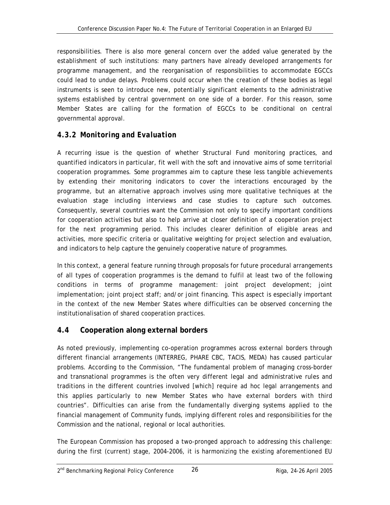<span id="page-25-0"></span>responsibilities. There is also more general concern over the added value generated by the establishment of such institutions: many partners have already developed arrangements for programme management, and the reorganisation of responsibilities to accommodate EGCCs could lead to undue delays. Problems could occur when the creation of these bodies as legal instruments is seen to introduce new, potentially significant elements to the administrative systems established by central government on one side of a border. For this reason, some Member States are calling for the formation of EGCCs to be conditional on central governmental approval.

#### *4.3.2 Monitoring and Evaluation*

A recurring issue is the question of whether Structural Fund monitoring practices, and quantified indicators in particular, fit well with the soft and innovative aims of some territorial cooperation programmes. Some programmes aim to capture these less tangible achievements by extending their monitoring indicators to cover the interactions encouraged by the programme, but an alternative approach involves using more qualitative techniques at the evaluation stage including interviews and case studies to capture such outcomes. Consequently, several countries want the Commission not only to specify important conditions for cooperation activities but also to help arrive at closer definition of a cooperation project for the next programming period. This includes clearer definition of eligible areas and activities, more specific criteria or qualitative weighting for project selection and evaluation, and indicators to help capture the genuinely cooperative nature of programmes.

In this context, a general feature running through proposals for future procedural arrangements of all types of cooperation programmes is the demand to fulfil at least two of the following conditions in terms of programme management: joint project development; joint implementation; joint project staff; and/or joint financing. This aspect is especially important in the context of the new Member States where difficulties can be observed concerning the institutionalisation of shared cooperation practices.

### **4.4 Cooperation along external borders**

As noted previously, implementing co-operation programmes across external borders through different financial arrangements (INTERREG, PHARE CBC, TACIS, MEDA) has caused particular problems. According to the Commission, "The fundamental problem of managing cross-border and transnational programmes is the often very different legal and administrative rules and traditions in the different countries involved [which] require ad hoc legal arrangements and this applies particularly to new Member States who have external borders with third countries". Difficulties can arise from the fundamentally diverging systems applied to the financial management of Community funds, implying different roles and responsibilities for the Commission and the national, regional or local authorities.

The European Commission has proposed a two-pronged approach to addressing this challenge: during the first (current) stage, 2004-2006, it is harmonizing the existing aforementioned EU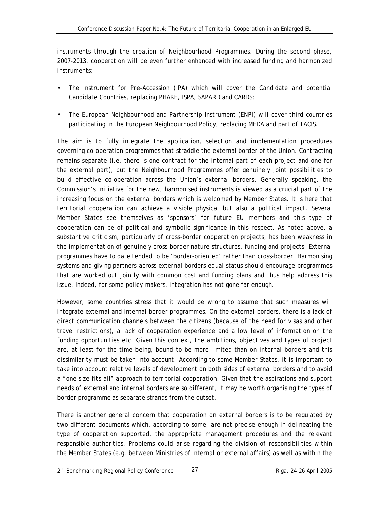instruments through the creation of Neighbourhood Programmes. During the second phase, 2007-2013, cooperation will be even further enhanced with increased funding and harmonized instruments:

- The Instrument for Pre-Accession (IPA) which will cover the Candidate and potential Candidate Countries, replacing PHARE, ISPA, SAPARD and CARDS;
- The European Neighbourhood and Partnership Instrument (ENPI) will cover third countries participating in the European Neighbourhood Policy, replacing MEDA and part of TACIS.

The aim is to fully integrate the application, selection and implementation procedures governing co-operation programmes that straddle the external border of the Union. Contracting remains separate (i.e. there is one contract for the internal part of each project and one for the external part), but the Neighbourhood Programmes offer genuinely joint possibilities to build effective co-operation across the Union's external borders. Generally speaking, the Commission's initiative for the new, harmonised instruments is viewed as a crucial part of the increasing focus on the external borders which is welcomed by Member States. It is here that territorial cooperation can achieve a visible physical but also a political impact. Several Member States see themselves as 'sponsors' for future EU members and this type of cooperation can be of political and symbolic significance in this respect. As noted above, a substantive criticism, particularly of cross-border cooperation projects, has been weakness in the implementation of genuinely cross-border nature structures, funding and projects. External programmes have to date tended to be 'border-oriented' rather than cross-border. Harmonising systems and giving partners across external borders equal status should encourage programmes that are worked out jointly with common cost and funding plans and thus help address this issue. Indeed, for some policy-makers, integration has not gone far enough.

However, some countries stress that it would be wrong to assume that such measures will integrate external and internal border programmes. On the external borders, there is a lack of direct communication channels between the citizens (because of the need for visas and other travel restrictions), a lack of cooperation experience and a low level of information on the funding opportunities etc. Given this context, the ambitions, objectives and types of project are, at least for the time being, bound to be more limited than on internal borders and this dissimilarity must be taken into account. According to some Member States, it is important to take into account relative levels of development on both sides of external borders and to avoid a "one-size-fits-all" approach to territorial cooperation. Given that the aspirations and support needs of external and internal borders are so different, it may be worth organising the types of border programme as separate strands from the outset.

There is another general concern that cooperation on external borders is to be regulated by two different documents which, according to some, are not precise enough in delineating the type of cooperation supported, the appropriate management procedures and the relevant responsible authorities. Problems could arise regarding the division of responsibilities within the Member States (e.g. between Ministries of internal or external affairs) as well as within the